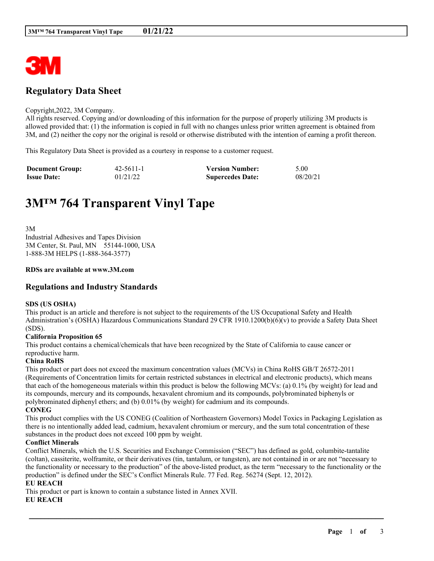

## **Regulatory Data Sheet**

#### Copyright,2022, 3M Company.

All rights reserved. Copying and/or downloading of this information for the purpose of properly utilizing 3M products is allowed provided that: (1) the information is copied in full with no changes unless prior written agreement is obtained from 3M, and (2) neither the copy nor the original is resold or otherwise distributed with the intention of earning a profit thereon.

This Regulatory Data Sheet is provided as a courtesy in response to a customer request.

| <b>Document Group:</b> | $42 - 5611 - 1$ | <b>Version Number:</b>  | 5.00     |
|------------------------|-----------------|-------------------------|----------|
| <b>Issue Date:</b>     | 01/21/22        | <b>Supercedes Date:</b> | 08/20/21 |

# **3M™ 764 Transparent Vinyl Tape**

3M Industrial Adhesives and Tapes Division 3M Center, St. Paul, MN 55144-1000, USA 1-888-3M HELPS (1-888-364-3577)

#### **RDSs are available at www.3M.com**

## **Regulations and Industry Standards**

#### **SDS (US OSHA)**

This product is an article and therefore is not subject to the requirements of the US Occupational Safety and Health Administration's (OSHA) Hazardous Communications Standard 29 CFR 1910.1200(b)(6)(v) to provide a Safety Data Sheet (SDS).

#### **California Proposition 65**

This product contains a chemical/chemicals that have been recognized by the State of California to cause cancer or reproductive harm.

#### **China RoHS**

This product or part does not exceed the maximum concentration values (MCVs) in China RoHS GB/T 26572-2011 (Requirements of Concentration limits for certain restricted substances in electrical and electronic products), which means that each of the homogeneous materials within this product is below the following MCVs: (a) 0.1% (by weight) for lead and its compounds, mercury and its compounds, hexavalent chromium and its compounds, polybrominated biphenyls or polybrominated diphenyl ethers; and (b) 0.01% (by weight) for cadmium and its compounds. **CONEG**

This product complies with the US CONEG (Coalition of Northeastern Governors) Model Toxics in Packaging Legislation as there is no intentionally added lead, cadmium, hexavalent chromium or mercury, and the sum total concentration of these substances in the product does not exceed 100 ppm by weight.

#### **Conflict Minerals**

Conflict Minerals, which the U.S. Securities and Exchange Commission ("SEC") has defined as gold, columbite-tantalite (coltan), cassiterite, wolframite, or their derivatives (tin, tantalum, or tungsten), are not contained in or are not "necessary to the functionality or necessary to the production" of the above-listed product, as the term "necessary to the functionality or the production" is defined under the SEC's Conflict Minerals Rule. 77 Fed. Reg. 56274 (Sept. 12, 2012).

\_\_\_\_\_\_\_\_\_\_\_\_\_\_\_\_\_\_\_\_\_\_\_\_\_\_\_\_\_\_\_\_\_\_\_\_\_\_\_\_\_\_\_\_\_\_\_\_\_\_\_\_\_\_\_\_\_\_\_\_\_\_\_\_\_\_\_\_\_\_\_\_\_\_\_\_\_\_\_\_\_\_\_\_\_\_\_\_\_\_

## **EU REACH**

This product or part is known to contain a substance listed in Annex XVII.

#### **EU REACH**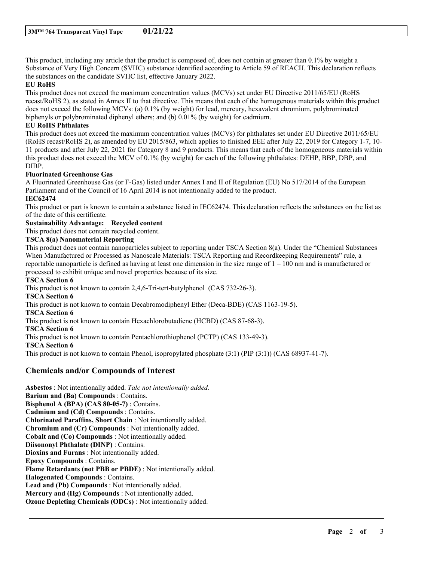This product, including any article that the product is composed of, does not contain at greater than 0.1% by weight a Substance of Very High Concern (SVHC) substance identified according to Article 59 of REACH. This declaration reflects the substances on the candidate SVHC list, effective January 2022.

#### **EU RoHS**

This product does not exceed the maximum concentration values (MCVs) set under EU Directive 2011/65/EU (RoHS recast/RoHS 2), as stated in Annex II to that directive. This means that each of the homogenous materials within this product does not exceed the following MCVs: (a) 0.1% (by weight) for lead, mercury, hexavalent chromium, polybrominated biphenyls or polybrominated diphenyl ethers; and (b) 0.01% (by weight) for cadmium.

## **EU RoHS Phthalates**

This product does not exceed the maximum concentration values (MCVs) for phthalates set under EU Directive 2011/65/EU (RoHS recast/RoHS 2), as amended by EU 2015/863, which applies to finished EEE after July 22, 2019 for Category 1-7, 10- 11 products and after July 22, 2021 for Category 8 and 9 products. This means that each of the homogeneous materials within this product does not exceed the MCV of 0.1% (by weight) for each of the following phthalates: DEHP, BBP, DBP, and DIBP.

#### **Fluorinated Greenhouse Gas**

A Fluorinated Greenhouse Gas (or F-Gas) listed under Annex I and II of Regulation (EU) No 517/2014 of the European Parliament and of the Council of 16 April 2014 is not intentionally added to the product.

## **IEC62474**

This product or part is known to contain a substance listed in IEC62474. This declaration reflects the substances on the list as of the date of this certificate.

## **Sustainability Advantage: Recycled content**

This product does not contain recycled content.

#### **TSCA 8(a) Nanomaterial Reporting**

This product does not contain nanoparticles subject to reporting under TSCA Section 8(a). Under the "Chemical Substances When Manufactured or Processed as Nanoscale Materials: TSCA Reporting and Recordkeeping Requirements" rule, a reportable nanoparticle is defined as having at least one dimension in the size range of  $1 - 100$  nm and is manufactured or processed to exhibit unique and novel properties because of its size.

\_\_\_\_\_\_\_\_\_\_\_\_\_\_\_\_\_\_\_\_\_\_\_\_\_\_\_\_\_\_\_\_\_\_\_\_\_\_\_\_\_\_\_\_\_\_\_\_\_\_\_\_\_\_\_\_\_\_\_\_\_\_\_\_\_\_\_\_\_\_\_\_\_\_\_\_\_\_\_\_\_\_\_\_\_\_\_\_\_\_

#### **TSCA Section 6**

This product is not known to contain 2,4,6-Tri-tert-butylphenol (CAS 732-26-3). **TSCA Section 6** This product is not known to contain Decabromodiphenyl Ether (Deca-BDE) (CAS 1163-19-5). **TSCA Section 6** This product is not known to contain Hexachlorobutadiene (HCBD) (CAS 87-68-3). **TSCA Section 6** This product is not known to contain Pentachlorothiophenol (PCTP) (CAS 133-49-3). **TSCA Section 6** This product is not known to contain Phenol, isopropylated phosphate (3:1) (PIP (3:1)) (CAS 68937-41-7).

## **Chemicals and/or Compounds of Interest**

**Asbestos** : Not intentionally added. *Talc not intentionally added.* **Barium and (Ba) Compounds** : Contains. **Bisphenol A (BPA) (CAS 80-05-7)** : Contains. **Cadmium and (Cd) Compounds** : Contains. **Chlorinated Paraffins, Short Chain** : Not intentionally added. **Chromium and (Cr) Compounds** : Not intentionally added. **Cobalt and (Co) Compounds** : Not intentionally added. **Diisononyl Phthalate (DINP)** : Contains. **Dioxins and Furans** : Not intentionally added. **Epoxy Compounds** : Contains. **Flame Retardants (not PBB or PBDE)** : Not intentionally added. **Halogenated Compounds** : Contains. **Lead and (Pb) Compounds** : Not intentionally added. **Mercury and (Hg) Compounds** : Not intentionally added. **Ozone Depleting Chemicals (ODCs)** : Not intentionally added.